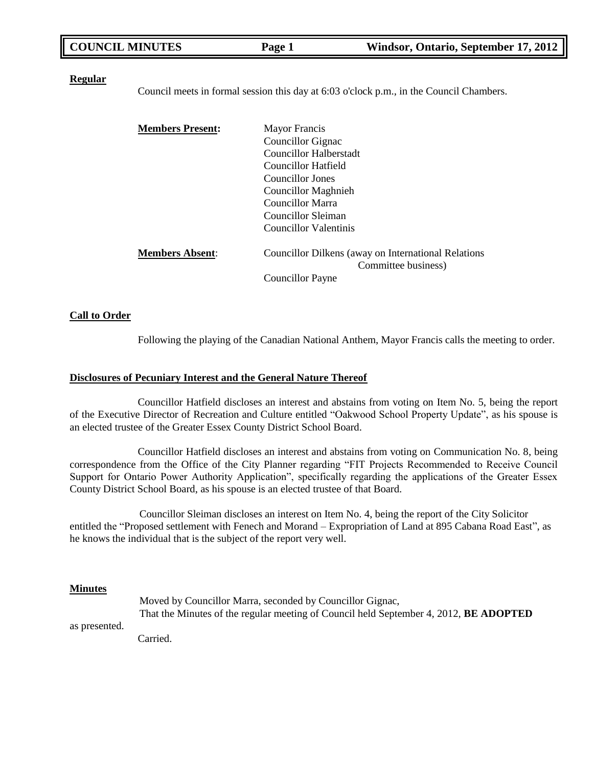| <b>COUNCIL MINUTES</b> | Page 1 | Windsor, Ontario, September 17, 2012 |
|------------------------|--------|--------------------------------------|
|                        |        |                                      |

### **Regular**

Council meets in formal session this day at 6:03 o'clock p.m., in the Council Chambers.

| <b>Members Present:</b> | <b>Mayor Francis</b>                                                       |
|-------------------------|----------------------------------------------------------------------------|
|                         | Councillor Gignac                                                          |
|                         | Councillor Halberstadt                                                     |
|                         | Councillor Hatfield                                                        |
|                         | Councillor Jones                                                           |
|                         | <b>Councillor Maghnieh</b>                                                 |
|                         | Councillor Marra                                                           |
|                         | Councillor Sleiman                                                         |
|                         | Councillor Valentinis                                                      |
| <b>Members Absent:</b>  | Councillor Dilkens (away on International Relations<br>Committee business) |
|                         | Councillor Payne                                                           |

### **Call to Order**

Following the playing of the Canadian National Anthem, Mayor Francis calls the meeting to order.

### **Disclosures of Pecuniary Interest and the General Nature Thereof**

Councillor Hatfield discloses an interest and abstains from voting on Item No. 5, being the report of the Executive Director of Recreation and Culture entitled "Oakwood School Property Update", as his spouse is an elected trustee of the Greater Essex County District School Board.

Councillor Hatfield discloses an interest and abstains from voting on Communication No. 8, being correspondence from the Office of the City Planner regarding "FIT Projects Recommended to Receive Council Support for Ontario Power Authority Application", specifically regarding the applications of the Greater Essex County District School Board, as his spouse is an elected trustee of that Board.

Councillor Sleiman discloses an interest on Item No. 4, being the report of the City Solicitor entitled the "Proposed settlement with Fenech and Morand – Expropriation of Land at 895 Cabana Road East", as he knows the individual that is the subject of the report very well.

### **Minutes**

Moved by Councillor Marra, seconded by Councillor Gignac, That the Minutes of the regular meeting of Council held September 4, 2012, **BE ADOPTED** as presented.

Carried.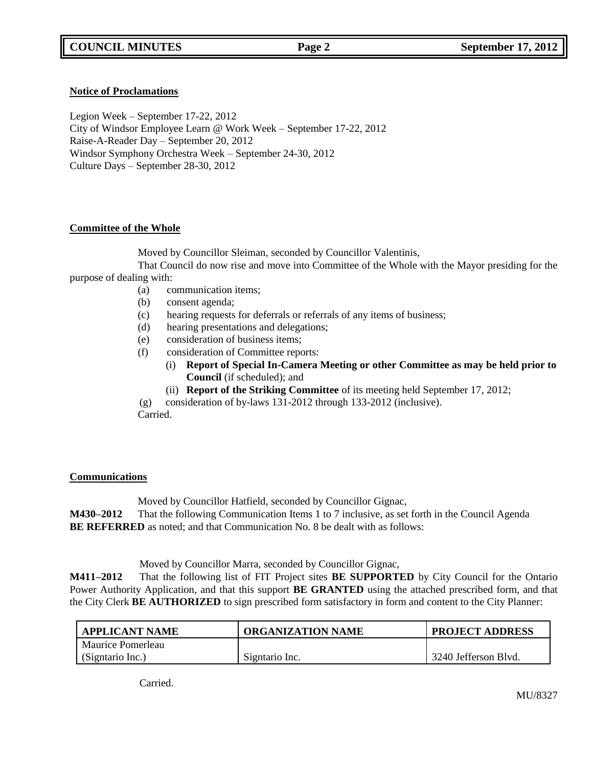### **Notice of Proclamations**

Legion Week – September 17-22, 2012 City of Windsor Employee Learn @ Work Week – September 17-22, 2012 Raise-A-Reader Day – September 20, 2012 Windsor Symphony Orchestra Week – September 24-30, 2012 Culture Days – September 28-30, 2012

## **Committee of the Whole**

Moved by Councillor Sleiman, seconded by Councillor Valentinis,

That Council do now rise and move into Committee of the Whole with the Mayor presiding for the purpose of dealing with:

- (a) communication items;
- (b) consent agenda;
- (c) hearing requests for deferrals or referrals of any items of business;
- (d) hearing presentations and delegations;
- (e) consideration of business items;
- (f) consideration of Committee reports:
	- (i) **Report of Special In-Camera Meeting or other Committee as may be held prior to Council** (if scheduled); and
	- (ii) **Report of the Striking Committee** of its meeting held September 17, 2012;
- (g) consideration of by-laws 131-2012 through 133-2012 (inclusive).

Carried.

### **Communications**

Moved by Councillor Hatfield, seconded by Councillor Gignac,

**M430–2012** That the following Communication Items 1 to 7 inclusive, as set forth in the Council Agenda **BE REFERRED** as noted; and that Communication No. 8 be dealt with as follows:

Moved by Councillor Marra, seconded by Councillor Gignac,

**M411–2012** That the following list of FIT Project sites **BE SUPPORTED** by City Council for the Ontario Power Authority Application, and that this support **BE GRANTED** using the attached prescribed form, and that the City Clerk **BE AUTHORIZED** to sign prescribed form satisfactory in form and content to the City Planner:

| <b>APPLICANT NAME</b> | ORGANIZATION NAME | <b>PROJECT ADDRESS</b> |
|-----------------------|-------------------|------------------------|
| Maurice Pomerleau     |                   |                        |
| (Signtario Inc.)      | Signtario Inc.    | 3240 Jefferson Blvd.   |

**Carried**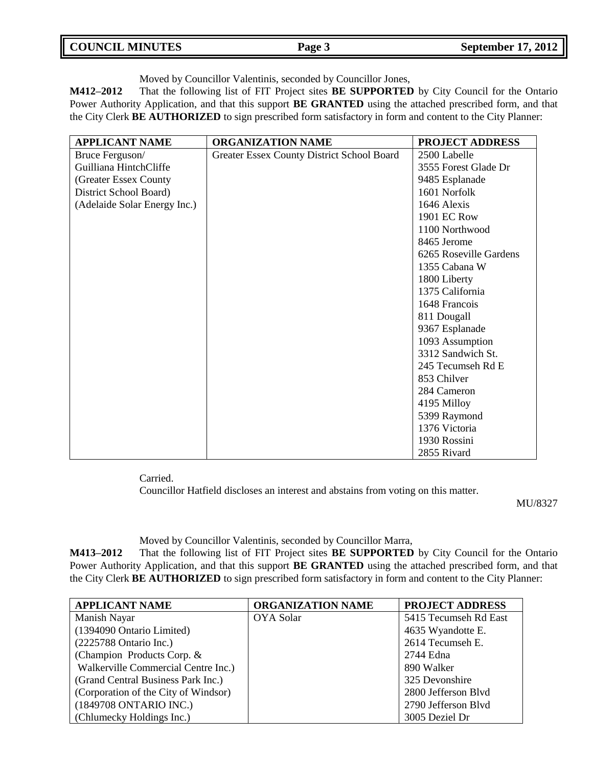| <b>COUNCIL MINUTES</b> | Page 3 | <b>September 17, 2012</b> |
|------------------------|--------|---------------------------|
|                        |        |                           |

Moved by Councillor Valentinis, seconded by Councillor Jones,

**M412–2012** That the following list of FIT Project sites **BE SUPPORTED** by City Council for the Ontario Power Authority Application, and that this support **BE GRANTED** using the attached prescribed form, and that the City Clerk **BE AUTHORIZED** to sign prescribed form satisfactory in form and content to the City Planner:

| <b>APPLICANT NAME</b>        | <b>ORGANIZATION NAME</b>                   | <b>PROJECT ADDRESS</b> |
|------------------------------|--------------------------------------------|------------------------|
| Bruce Ferguson/              | Greater Essex County District School Board | 2500 Labelle           |
| Guilliana HintchCliffe       |                                            | 3555 Forest Glade Dr   |
| (Greater Essex County        |                                            | 9485 Esplanade         |
| District School Board)       |                                            | 1601 Norfolk           |
| (Adelaide Solar Energy Inc.) |                                            | 1646 Alexis            |
|                              |                                            | <b>1901 EC Row</b>     |
|                              |                                            | 1100 Northwood         |
|                              |                                            | 8465 Jerome            |
|                              |                                            | 6265 Roseville Gardens |
|                              |                                            | 1355 Cabana W          |
|                              |                                            | 1800 Liberty           |
|                              |                                            | 1375 California        |
|                              |                                            | 1648 Francois          |
|                              |                                            | 811 Dougall            |
|                              |                                            | 9367 Esplanade         |
|                              |                                            | 1093 Assumption        |
|                              |                                            | 3312 Sandwich St.      |
|                              |                                            | 245 Tecumseh Rd E      |
|                              |                                            | 853 Chilver            |
|                              |                                            | 284 Cameron            |
|                              |                                            | 4195 Milloy            |
|                              |                                            | 5399 Raymond           |
|                              |                                            | 1376 Victoria          |
|                              |                                            | 1930 Rossini           |
|                              |                                            | 2855 Rivard            |

Carried.

Councillor Hatfield discloses an interest and abstains from voting on this matter.

MU/8327

Moved by Councillor Valentinis, seconded by Councillor Marra,

**M413–2012** That the following list of FIT Project sites **BE SUPPORTED** by City Council for the Ontario Power Authority Application, and that this support **BE GRANTED** using the attached prescribed form, and that the City Clerk **BE AUTHORIZED** to sign prescribed form satisfactory in form and content to the City Planner:

| <b>APPLICANT NAME</b>                | <b>ORGANIZATION NAME</b> | <b>PROJECT ADDRESS</b> |
|--------------------------------------|--------------------------|------------------------|
| Manish Nayar                         | <b>OYA Solar</b>         | 5415 Tecumseh Rd East  |
| (1394090 Ontario Limited)            |                          | 4635 Wyandotte E.      |
| $(2225788 \text{ Ontario Inc.})$     |                          | 2614 Tecumseh E.       |
| (Champion Products Corp. &           |                          | 2744 Edna              |
| Walkerville Commercial Centre Inc.)  |                          | 890 Walker             |
| (Grand Central Business Park Inc.)   |                          | 325 Devonshire         |
| (Corporation of the City of Windsor) |                          | 2800 Jefferson Blyd    |
| (1849708 ONTARIO INC.)               |                          | 2790 Jefferson Blvd    |
| (Chlumecky Holdings Inc.)            |                          | 3005 Deziel Dr         |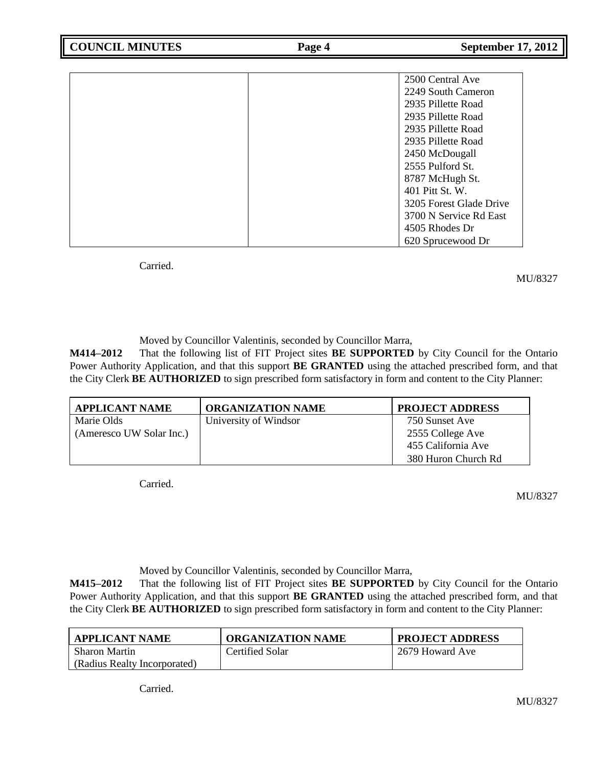| 2500 Central Ave        |
|-------------------------|
| 2249 South Cameron      |
| 2935 Pillette Road      |
| 2935 Pillette Road      |
| 2935 Pillette Road      |
| 2935 Pillette Road      |
| 2450 McDougall          |
| 2555 Pulford St.        |
| 8787 McHugh St.         |
| 401 Pitt St. W.         |
| 3205 Forest Glade Drive |
| 3700 N Service Rd East  |
| 4505 Rhodes Dr          |
| 620 Sprucewood Dr       |

Carried.

MU/8327

Moved by Councillor Valentinis, seconded by Councillor Marra,

**M414–2012** That the following list of FIT Project sites **BE SUPPORTED** by City Council for the Ontario Power Authority Application, and that this support **BE GRANTED** using the attached prescribed form, and that the City Clerk **BE AUTHORIZED** to sign prescribed form satisfactory in form and content to the City Planner:

| <b>APPLICANT NAME</b>    | <b>ORGANIZATION NAME</b> | <b>PROJECT ADDRESS</b> |
|--------------------------|--------------------------|------------------------|
| Marie Olds               | University of Windsor    | 750 Sunset Ave         |
| (Ameresco UW Solar Inc.) |                          | 2555 College Ave       |
|                          |                          | 455 California Ave     |
|                          |                          | 380 Huron Church Rd    |

Carried.

MU/8327

Moved by Councillor Valentinis, seconded by Councillor Marra,

**M415–2012** That the following list of FIT Project sites **BE SUPPORTED** by City Council for the Ontario Power Authority Application, and that this support **BE GRANTED** using the attached prescribed form, and that the City Clerk **BE AUTHORIZED** to sign prescribed form satisfactory in form and content to the City Planner:

| <b>APPLICANT NAME</b>        | <b>ORGANIZATION NAME</b> | <b>PROJECT ADDRESS</b> |
|------------------------------|--------------------------|------------------------|
| <b>Sharon Martin</b>         | Certified Solar          | 2679 Howard Ave        |
| (Radius Realty Incorporated) |                          |                        |

Carried.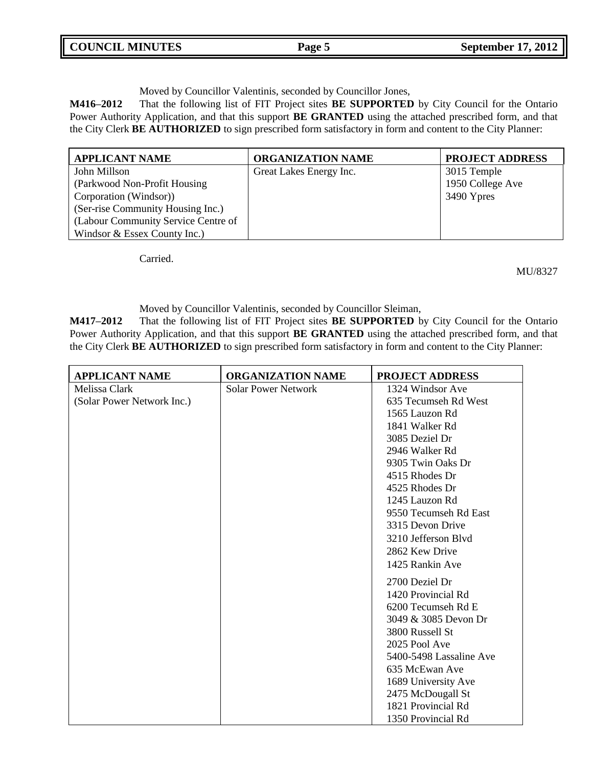| <b>COUNCIL MINUTES</b> | Page 5 | <b>September 17, 2012</b> |
|------------------------|--------|---------------------------|
|                        |        |                           |

Moved by Councillor Valentinis, seconded by Councillor Jones,

**M416–2012** That the following list of FIT Project sites **BE SUPPORTED** by City Council for the Ontario Power Authority Application, and that this support **BE GRANTED** using the attached prescribed form, and that the City Clerk **BE AUTHORIZED** to sign prescribed form satisfactory in form and content to the City Planner:

| <b>APPLICANT NAME</b>               | <b>ORGANIZATION NAME</b> | <b>PROJECT ADDRESS</b> |
|-------------------------------------|--------------------------|------------------------|
| John Millson                        | Great Lakes Energy Inc.  | 3015 Temple            |
| (Parkwood Non-Profit Housing)       |                          | 1950 College Ave       |
| Corporation (Windsor))              |                          | 3490 Ypres             |
| (Ser-rise Community Housing Inc.)   |                          |                        |
| (Labour Community Service Centre of |                          |                        |
| Windsor & Essex County Inc.)        |                          |                        |

Carried.

MU/8327

Moved by Councillor Valentinis, seconded by Councillor Sleiman,

**M417–2012** That the following list of FIT Project sites **BE SUPPORTED** by City Council for the Ontario Power Authority Application, and that this support **BE GRANTED** using the attached prescribed form, and that the City Clerk **BE AUTHORIZED** to sign prescribed form satisfactory in form and content to the City Planner:

| <b>APPLICANT NAME</b>      | <b>ORGANIZATION NAME</b>   | <b>PROJECT ADDRESS</b>  |
|----------------------------|----------------------------|-------------------------|
| Melissa Clark              | <b>Solar Power Network</b> | 1324 Windsor Ave        |
| (Solar Power Network Inc.) |                            | 635 Tecumseh Rd West    |
|                            |                            | 1565 Lauzon Rd          |
|                            |                            | 1841 Walker Rd          |
|                            |                            | 3085 Deziel Dr          |
|                            |                            | 2946 Walker Rd          |
|                            |                            | 9305 Twin Oaks Dr       |
|                            |                            | 4515 Rhodes Dr          |
|                            |                            | 4525 Rhodes Dr          |
|                            |                            | 1245 Lauzon Rd          |
|                            |                            | 9550 Tecumseh Rd East   |
|                            |                            | 3315 Devon Drive        |
|                            |                            | 3210 Jefferson Blyd     |
|                            |                            | 2862 Kew Drive          |
|                            |                            | 1425 Rankin Ave         |
|                            |                            | 2700 Deziel Dr          |
|                            |                            | 1420 Provincial Rd      |
|                            |                            | 6200 Tecumseh Rd E      |
|                            |                            | 3049 & 3085 Devon Dr    |
|                            |                            | 3800 Russell St         |
|                            |                            | 2025 Pool Ave           |
|                            |                            | 5400-5498 Lassaline Ave |
|                            |                            | 635 McEwan Ave          |
|                            |                            | 1689 University Ave     |
|                            |                            | 2475 McDougall St       |
|                            |                            | 1821 Provincial Rd      |
|                            |                            | 1350 Provincial Rd      |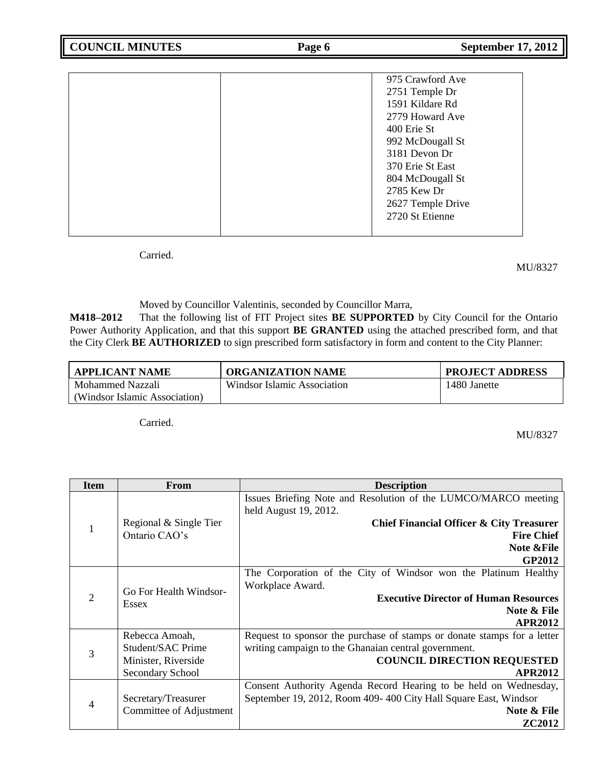|  | 975 Crawford Ave  |
|--|-------------------|
|  | 2751 Temple Dr    |
|  | 1591 Kildare Rd   |
|  | 2779 Howard Ave   |
|  | 400 Erie St       |
|  | 992 McDougall St  |
|  | 3181 Devon Dr     |
|  | 370 Erie St East  |
|  | 804 McDougall St  |
|  | 2785 Kew Dr       |
|  | 2627 Temple Drive |
|  | 2720 St Etienne   |
|  |                   |

Carried.

MU/8327

Moved by Councillor Valentinis, seconded by Councillor Marra,

**M418–2012** That the following list of FIT Project sites **BE SUPPORTED** by City Council for the Ontario Power Authority Application, and that this support **BE GRANTED** using the attached prescribed form, and that the City Clerk **BE AUTHORIZED** to sign prescribed form satisfactory in form and content to the City Planner:

| APPLICANT NAME                | <b>ORGANIZATION NAME</b>    | <b>PROJECT ADDRESS</b> |
|-------------------------------|-----------------------------|------------------------|
| Mohammed Nazzali              | Windsor Islamic Association | 1480 Janette           |
| (Windsor Islamic Association) |                             |                        |

Carried.

MU/8327

| <b>Item</b>    | <b>From</b>             | <b>Description</b>                                                      |
|----------------|-------------------------|-------------------------------------------------------------------------|
|                |                         | Issues Briefing Note and Resolution of the LUMCO/MARCO meeting          |
|                |                         | held August 19, 2012.                                                   |
| 1              | Regional & Single Tier  | Chief Financial Officer & City Treasurer                                |
|                | Ontario CAO's           | <b>Fire Chief</b>                                                       |
|                |                         | <b>Note &amp;File</b>                                                   |
|                |                         | GP2012                                                                  |
|                |                         | The Corporation of the City of Windsor won the Platinum Healthy         |
|                | Go For Health Windsor-  | Workplace Award.                                                        |
| $\overline{2}$ | Essex                   | <b>Executive Director of Human Resources</b>                            |
|                |                         | Note & File                                                             |
|                |                         | <b>APR2012</b>                                                          |
|                | Rebecca Amoah,          | Request to sponsor the purchase of stamps or donate stamps for a letter |
| 3              | Student/SAC Prime       | writing campaign to the Ghanaian central government.                    |
|                | Minister, Riverside     | <b>COUNCIL DIRECTION REQUESTED</b>                                      |
|                | <b>Secondary School</b> | <b>APR2012</b>                                                          |
|                |                         | Consent Authority Agenda Record Hearing to be held on Wednesday,        |
| 4              | Secretary/Treasurer     | September 19, 2012, Room 409-400 City Hall Square East, Windsor         |
|                | Committee of Adjustment | Note & File                                                             |
|                |                         | <b>ZC2012</b>                                                           |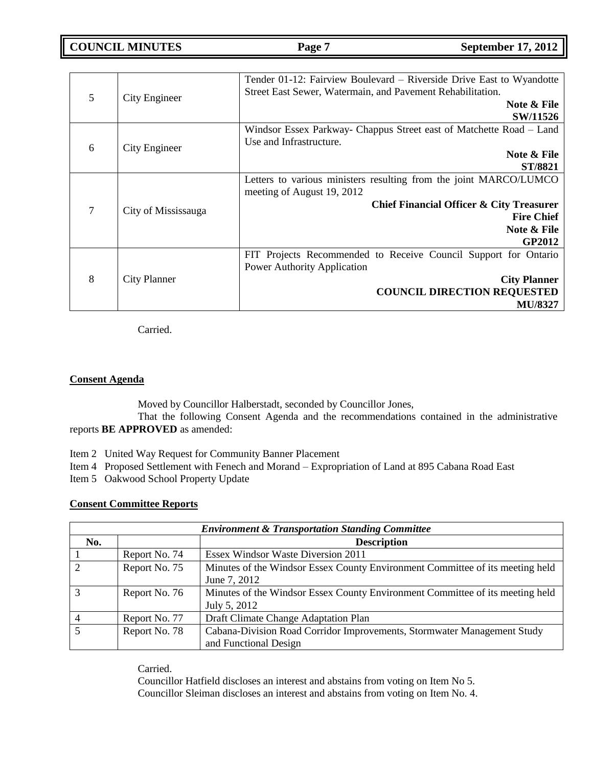**COUNCIL MINUTES Page 7 September 17, 2012**

| 5      | City Engineer       | Tender 01-12: Fairview Boulevard – Riverside Drive East to Wyandotte<br>Street East Sewer, Watermain, and Pavement Rehabilitation.<br>Note & File |
|--------|---------------------|---------------------------------------------------------------------------------------------------------------------------------------------------|
|        |                     | <b>SW/11526</b><br>Windsor Essex Parkway- Chappus Street east of Matchette Road – Land                                                            |
|        |                     | Use and Infrastructure.                                                                                                                           |
| 6      | City Engineer       | Note & File                                                                                                                                       |
|        |                     | ST/8821                                                                                                                                           |
|        |                     | Letters to various ministers resulting from the joint MARCO/LUMCO<br>meeting of August 19, 2012                                                   |
| $\tau$ | City of Mississauga | Chief Financial Officer & City Treasurer                                                                                                          |
|        |                     | <b>Fire Chief</b>                                                                                                                                 |
|        |                     | Note & File                                                                                                                                       |
|        |                     | <b>GP2012</b>                                                                                                                                     |
|        |                     | FIT Projects Recommended to Receive Council Support for Ontario                                                                                   |
|        |                     | <b>Power Authority Application</b>                                                                                                                |
| 8      | <b>City Planner</b> | <b>City Planner</b>                                                                                                                               |
|        |                     | <b>COUNCIL DIRECTION REQUESTED</b>                                                                                                                |
|        |                     | <b>MU/8327</b>                                                                                                                                    |

Carried.

## **Consent Agenda**

Moved by Councillor Halberstadt, seconded by Councillor Jones,

That the following Consent Agenda and the recommendations contained in the administrative reports **BE APPROVED** as amended:

Item 2 United Way Request for Community Banner Placement

Item 4 Proposed Settlement with Fenech and Morand – Expropriation of Land at 895 Cabana Road East

Item 5 Oakwood School Property Update

## **Consent Committee Reports**

| <b>Environment &amp; Transportation Standing Committee</b> |               |                                                                               |
|------------------------------------------------------------|---------------|-------------------------------------------------------------------------------|
| No.                                                        |               | <b>Description</b>                                                            |
|                                                            | Report No. 74 | <b>Essex Windsor Waste Diversion 2011</b>                                     |
| 2                                                          | Report No. 75 | Minutes of the Windsor Essex County Environment Committee of its meeting held |
|                                                            |               | June 7, 2012                                                                  |
| $\mathcal{R}$                                              | Report No. 76 | Minutes of the Windsor Essex County Environment Committee of its meeting held |
|                                                            |               | July 5, 2012                                                                  |
|                                                            | Report No. 77 | Draft Climate Change Adaptation Plan                                          |
| $\overline{5}$                                             | Report No. 78 | Cabana-Division Road Corridor Improvements, Stormwater Management Study       |
|                                                            |               | and Functional Design                                                         |

Carried.

Councillor Hatfield discloses an interest and abstains from voting on Item No 5. Councillor Sleiman discloses an interest and abstains from voting on Item No. 4.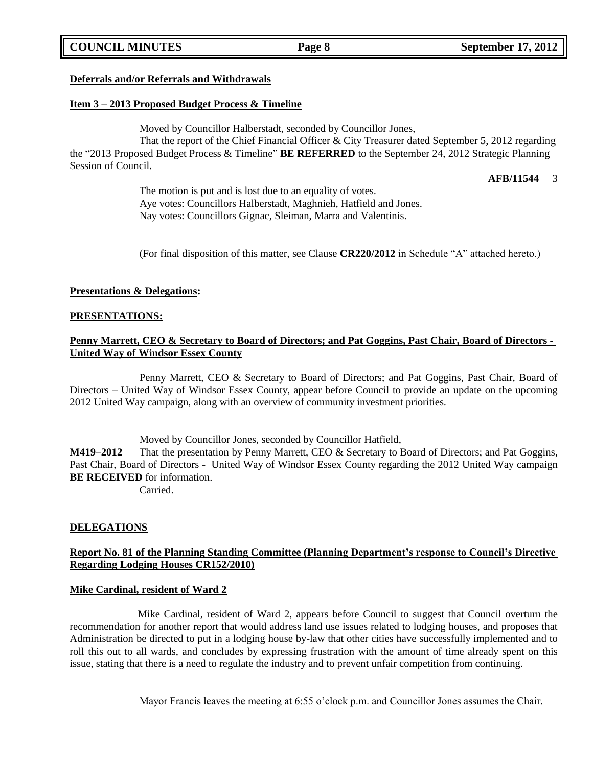## **COUNCIL MINUTES Page 8 September 17, 2012**

## **Deferrals and/or Referrals and Withdrawals**

## **Item 3 – 2013 Proposed Budget Process & Timeline**

Moved by Councillor Halberstadt, seconded by Councillor Jones,

That the report of the Chief Financial Officer & City Treasurer dated September 5, 2012 regarding the "2013 Proposed Budget Process & Timeline" **BE REFERRED** to the September 24, 2012 Strategic Planning Session of Council.

**AFB/11544** 3

The motion is put and is lost due to an equality of votes. Aye votes: Councillors Halberstadt, Maghnieh, Hatfield and Jones. Nay votes: Councillors Gignac, Sleiman, Marra and Valentinis.

(For final disposition of this matter, see Clause **CR220/2012** in Schedule "A" attached hereto.)

## **Presentations & Delegations:**

### **PRESENTATIONS:**

## **Penny Marrett, CEO & Secretary to Board of Directors; and Pat Goggins, Past Chair, Board of Directors - United Way of Windsor Essex County**

Penny Marrett, CEO & Secretary to Board of Directors; and Pat Goggins, Past Chair, Board of Directors – United Way of Windsor Essex County, appear before Council to provide an update on the upcoming 2012 United Way campaign, along with an overview of community investment priorities.

Moved by Councillor Jones, seconded by Councillor Hatfield,

**M419–2012** That the presentation by Penny Marrett, CEO & Secretary to Board of Directors; and Pat Goggins, Past Chair, Board of Directors - United Way of Windsor Essex County regarding the 2012 United Way campaign **BE RECEIVED** for information.

Carried.

### **DELEGATIONS**

## **Report No. 81 of the Planning Standing Committee (Planning Department's response to Council's Directive Regarding Lodging Houses CR152/2010)**

## **Mike Cardinal, resident of Ward 2**

Mike Cardinal, resident of Ward 2, appears before Council to suggest that Council overturn the recommendation for another report that would address land use issues related to lodging houses, and proposes that Administration be directed to put in a lodging house by-law that other cities have successfully implemented and to roll this out to all wards, and concludes by expressing frustration with the amount of time already spent on this issue, stating that there is a need to regulate the industry and to prevent unfair competition from continuing.

Mayor Francis leaves the meeting at 6:55 o'clock p.m. and Councillor Jones assumes the Chair.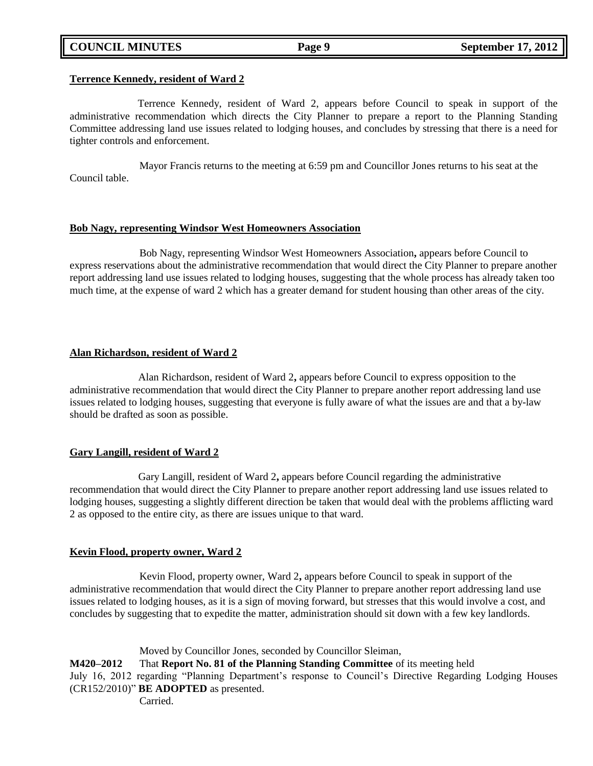## **COUNCIL MINUTES Page 9 September 17, 2012**

### **Terrence Kennedy, resident of Ward 2**

Terrence Kennedy, resident of Ward 2, appears before Council to speak in support of the administrative recommendation which directs the City Planner to prepare a report to the Planning Standing Committee addressing land use issues related to lodging houses, and concludes by stressing that there is a need for tighter controls and enforcement.

Mayor Francis returns to the meeting at 6:59 pm and Councillor Jones returns to his seat at the Council table.

### **Bob Nagy, representing Windsor West Homeowners Association**

Bob Nagy, representing Windsor West Homeowners Association**,** appears before Council to express reservations about the administrative recommendation that would direct the City Planner to prepare another report addressing land use issues related to lodging houses, suggesting that the whole process has already taken too much time, at the expense of ward 2 which has a greater demand for student housing than other areas of the city.

### **Alan Richardson, resident of Ward 2**

Alan Richardson, resident of Ward 2**,** appears before Council to express opposition to the administrative recommendation that would direct the City Planner to prepare another report addressing land use issues related to lodging houses, suggesting that everyone is fully aware of what the issues are and that a by-law should be drafted as soon as possible.

## **Gary Langill, resident of Ward 2**

Gary Langill, resident of Ward 2**,** appears before Council regarding the administrative recommendation that would direct the City Planner to prepare another report addressing land use issues related to lodging houses, suggesting a slightly different direction be taken that would deal with the problems afflicting ward 2 as opposed to the entire city, as there are issues unique to that ward.

## **Kevin Flood, property owner, Ward 2**

Kevin Flood, property owner, Ward 2**,** appears before Council to speak in support of the administrative recommendation that would direct the City Planner to prepare another report addressing land use issues related to lodging houses, as it is a sign of moving forward, but stresses that this would involve a cost, and concludes by suggesting that to expedite the matter, administration should sit down with a few key landlords.

Moved by Councillor Jones, seconded by Councillor Sleiman,

**M420–2012** That **Report No. 81 of the Planning Standing Committee** of its meeting held July 16, 2012 regarding "Planning Department's response to Council's Directive Regarding Lodging Houses (CR152/2010)" **BE ADOPTED** as presented.

**Carried**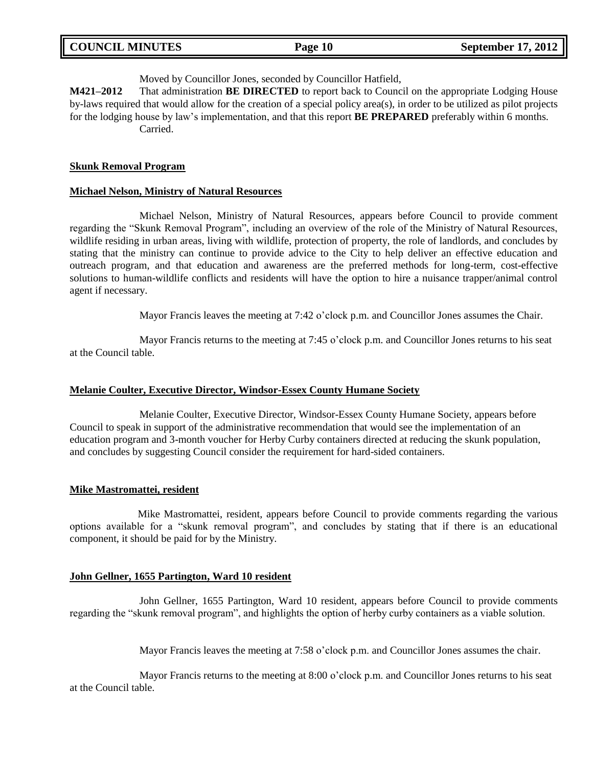| <b>COUNCIL MINUTES</b> |  |
|------------------------|--|
|------------------------|--|

## Moved by Councillor Jones, seconded by Councillor Hatfield,

**M421–2012** That administration **BE DIRECTED** to report back to Council on the appropriate Lodging House by-laws required that would allow for the creation of a special policy area(s), in order to be utilized as pilot projects for the lodging house by law's implementation, and that this report **BE PREPARED** preferably within 6 months. Carried.

### **Skunk Removal Program**

### **Michael Nelson, Ministry of Natural Resources**

Michael Nelson, Ministry of Natural Resources, appears before Council to provide comment regarding the "Skunk Removal Program", including an overview of the role of the Ministry of Natural Resources, wildlife residing in urban areas, living with wildlife, protection of property, the role of landlords, and concludes by stating that the ministry can continue to provide advice to the City to help deliver an effective education and outreach program, and that education and awareness are the preferred methods for long-term, cost-effective solutions to human-wildlife conflicts and residents will have the option to hire a nuisance trapper/animal control agent if necessary.

Mayor Francis leaves the meeting at 7:42 o'clock p.m. and Councillor Jones assumes the Chair.

Mayor Francis returns to the meeting at 7:45 o'clock p.m. and Councillor Jones returns to his seat at the Council table.

### **Melanie Coulter, Executive Director, Windsor-Essex County Humane Society**

Melanie Coulter, Executive Director, Windsor-Essex County Humane Society, appears before Council to speak in support of the administrative recommendation that would see the implementation of an education program and 3-month voucher for Herby Curby containers directed at reducing the skunk population, and concludes by suggesting Council consider the requirement for hard-sided containers.

### **Mike Mastromattei, resident**

Mike Mastromattei, resident, appears before Council to provide comments regarding the various options available for a "skunk removal program", and concludes by stating that if there is an educational component, it should be paid for by the Ministry.

### **John Gellner, 1655 Partington, Ward 10 resident**

John Gellner, 1655 Partington, Ward 10 resident, appears before Council to provide comments regarding the "skunk removal program", and highlights the option of herby curby containers as a viable solution.

Mayor Francis leaves the meeting at 7:58 o'clock p.m. and Councillor Jones assumes the chair.

Mayor Francis returns to the meeting at 8:00 o'clock p.m. and Councillor Jones returns to his seat at the Council table.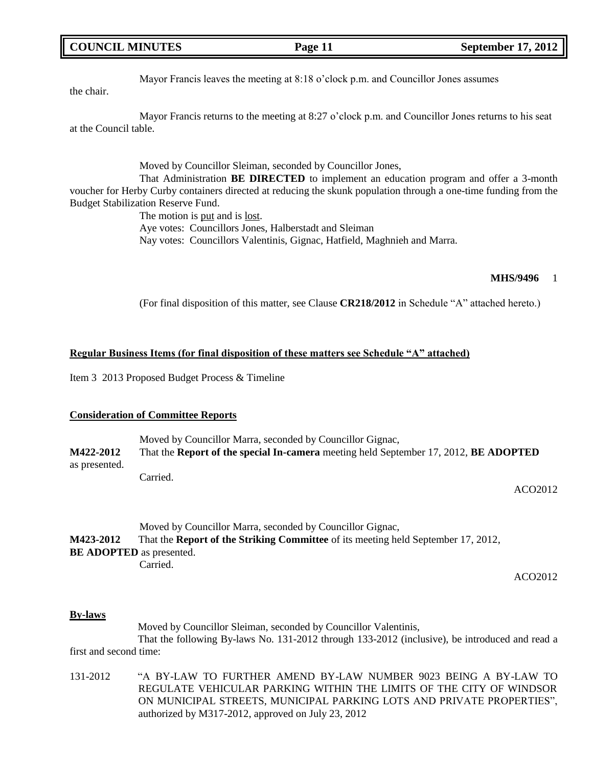## **COUNCIL MINUTES Page 11 September 17, 2012**

## Mayor Francis leaves the meeting at 8:18 o'clock p.m. and Councillor Jones assumes

the chair.

Mayor Francis returns to the meeting at 8:27 o'clock p.m. and Councillor Jones returns to his seat at the Council table.

Moved by Councillor Sleiman, seconded by Councillor Jones,

That Administration **BE DIRECTED** to implement an education program and offer a 3-month voucher for Herby Curby containers directed at reducing the skunk population through a one-time funding from the Budget Stabilization Reserve Fund.

> The motion is put and is <u>lost</u>. Aye votes: Councillors Jones, Halberstadt and Sleiman Nay votes: Councillors Valentinis, Gignac, Hatfield, Maghnieh and Marra.

### **MHS/9496** 1

(For final disposition of this matter, see Clause **CR218/2012** in Schedule "A" attached hereto.)

### **Regular Business Items (for final disposition of these matters see Schedule "A" attached)**

Item 3 2013 Proposed Budget Process & Timeline

### **Consideration of Committee Reports**

|                  | Moved by Councillor Marra, seconded by Councillor Gignac,                            |
|------------------|--------------------------------------------------------------------------------------|
| <b>M422-2012</b> | That the Report of the special In-camera meeting held September 17, 2012, BE ADOPTED |
| as presented.    |                                                                                      |
|                  | Carried.                                                                             |

ACO2012

|                                 | Moved by Councillor Marra, seconded by Councillor Gignac,                                |  |  |
|---------------------------------|------------------------------------------------------------------------------------------|--|--|
| <b>M423-2012</b>                | That the <b>Report of the Striking Committee</b> of its meeting held September 17, 2012, |  |  |
| <b>BE ADOPTED</b> as presented. |                                                                                          |  |  |
|                                 | Carried.                                                                                 |  |  |

ACO2012

### **By-laws**

Moved by Councillor Sleiman, seconded by Councillor Valentinis, That the following By-laws No. 131-2012 through 133-2012 (inclusive), be introduced and read a first and second time:

131-2012 "A BY-LAW TO FURTHER AMEND BY-LAW NUMBER 9023 BEING A BY-LAW TO REGULATE VEHICULAR PARKING WITHIN THE LIMITS OF THE CITY OF WINDSOR ON MUNICIPAL STREETS, MUNICIPAL PARKING LOTS AND PRIVATE PROPERTIES", authorized by M317-2012, approved on July 23, 2012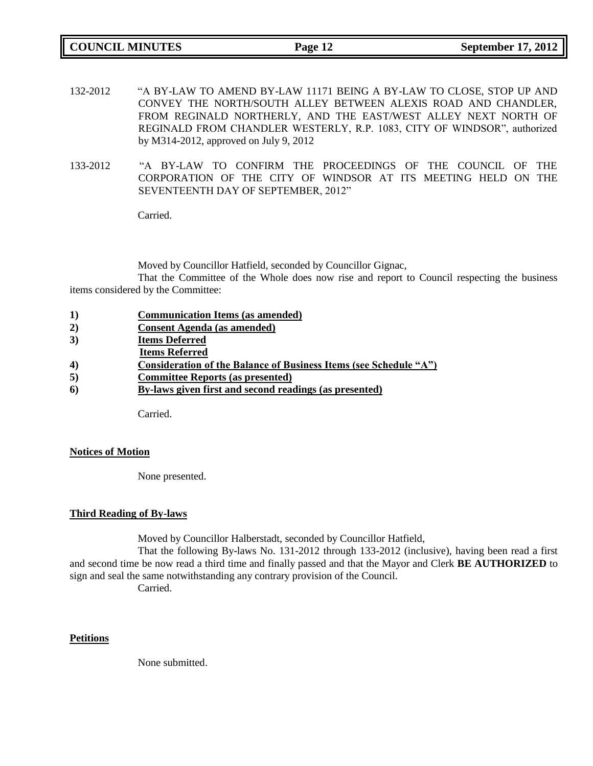**COUNCIL MINUTES Page 12 September 17, 2012**

- 132-2012 "A BY-LAW TO AMEND BY-LAW 11171 BEING A BY-LAW TO CLOSE, STOP UP AND CONVEY THE NORTH/SOUTH ALLEY BETWEEN ALEXIS ROAD AND CHANDLER, FROM REGINALD NORTHERLY, AND THE EAST/WEST ALLEY NEXT NORTH OF REGINALD FROM CHANDLER WESTERLY, R.P. 1083, CITY OF WINDSOR", authorized by M314-2012, approved on July 9, 2012
- 133-2012 "A BY-LAW TO CONFIRM THE PROCEEDINGS OF THE COUNCIL OF THE CORPORATION OF THE CITY OF WINDSOR AT ITS MEETING HELD ON THE SEVENTEENTH DAY OF SEPTEMBER, 2012"

Carried.

Moved by Councillor Hatfield, seconded by Councillor Gignac,

That the Committee of the Whole does now rise and report to Council respecting the business items considered by the Committee:

| $\bf{1})$ | <b>Communication Items (as amended)</b> |  |
|-----------|-----------------------------------------|--|
|           |                                         |  |

- **2) Consent Agenda (as amended)**
- **3) Items Deferred**
- **Items Referred**
- **4) Consideration of the Balance of Business Items (see Schedule "A")**
- **5) Committee Reports (as presented)**
- **6) By-laws given first and second readings (as presented)**

Carried.

### **Notices of Motion**

None presented.

## **Third Reading of By-laws**

Moved by Councillor Halberstadt, seconded by Councillor Hatfield,

That the following By-laws No. 131-2012 through 133-2012 (inclusive), having been read a first and second time be now read a third time and finally passed and that the Mayor and Clerk **BE AUTHORIZED** to sign and seal the same notwithstanding any contrary provision of the Council.

Carried.

## **Petitions**

None submitted.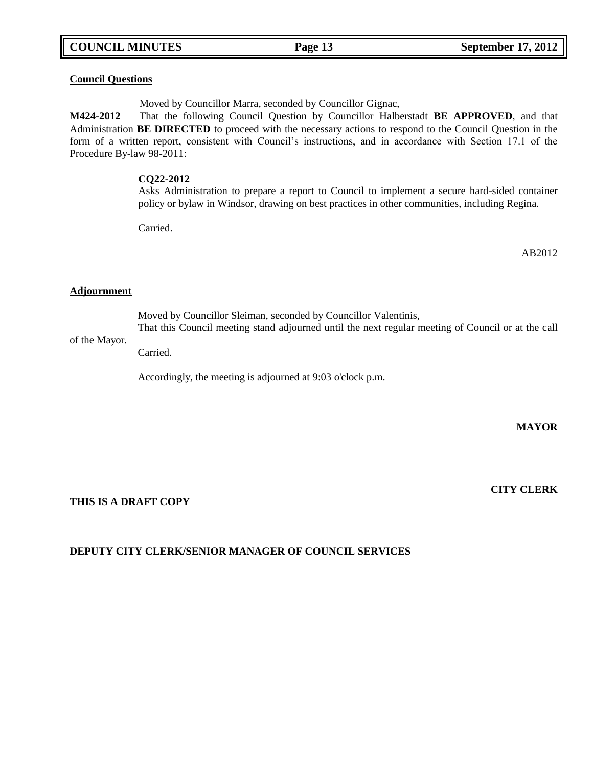## **COUNCIL MINUTES Page 13 September 17, 2012**

### **Council Questions**

Moved by Councillor Marra, seconded by Councillor Gignac,

**M424-2012** That the following Council Question by Councillor Halberstadt **BE APPROVED**, and that Administration **BE DIRECTED** to proceed with the necessary actions to respond to the Council Question in the form of a written report, consistent with Council's instructions, and in accordance with Section 17.1 of the Procedure By-law 98-2011:

### **CQ22-2012**

Asks Administration to prepare a report to Council to implement a secure hard-sided container policy or bylaw in Windsor, drawing on best practices in other communities, including Regina.

Carried.

AB2012

### **Adjournment**

Moved by Councillor Sleiman, seconded by Councillor Valentinis, That this Council meeting stand adjourned until the next regular meeting of Council or at the call

### of the Mayor.

Carried.

Accordingly, the meeting is adjourned at 9:03 o'clock p.m.

**MAYOR**

**CITY CLERK**

**THIS IS A DRAFT COPY**

## **DEPUTY CITY CLERK/SENIOR MANAGER OF COUNCIL SERVICES**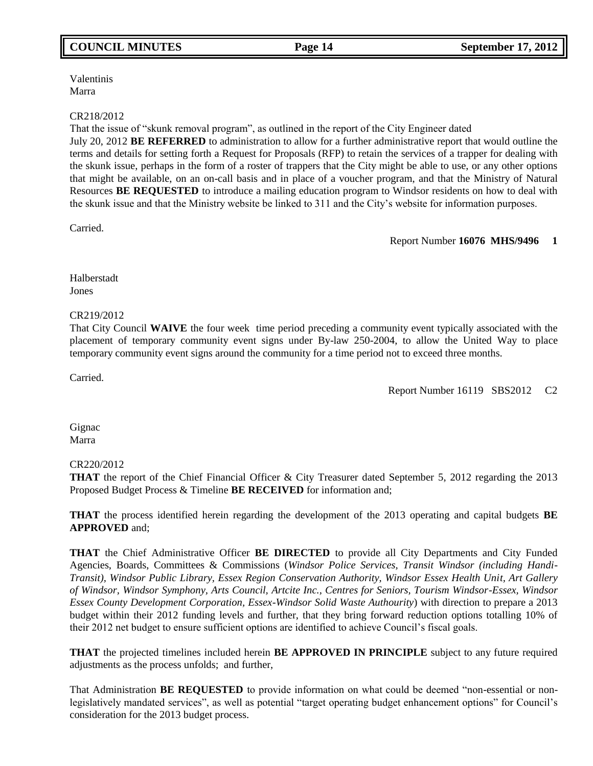## **COUNCIL MINUTES Page 14 September 17, 2012**

Valentinis Marra

### CR218/2012

That the issue of "skunk removal program", as outlined in the report of the City Engineer dated July 20, 2012 **BE REFERRED** to administration to allow for a further administrative report that would outline the terms and details for setting forth a Request for Proposals (RFP) to retain the services of a trapper for dealing with the skunk issue, perhaps in the form of a roster of trappers that the City might be able to use, or any other options that might be available, on an on-call basis and in place of a voucher program, and that the Ministry of Natural Resources **BE REQUESTED** to introduce a mailing education program to Windsor residents on how to deal with the skunk issue and that the Ministry website be linked to 311 and the City's website for information purposes.

Carried.

Report Number **16076 MHS/9496 1**

Halberstadt Jones

### CR219/2012

That City Council **WAIVE** the four week time period preceding a community event typically associated with the placement of temporary community event signs under By-law 250-2004, to allow the United Way to place temporary community event signs around the community for a time period not to exceed three months.

Carried.

Report Number 16119 SBS2012 C2

**Gignac** Marra

### CR220/2012

**THAT** the report of the Chief Financial Officer & City Treasurer dated September 5, 2012 regarding the 2013 Proposed Budget Process & Timeline **BE RECEIVED** for information and;

**THAT** the process identified herein regarding the development of the 2013 operating and capital budgets **BE APPROVED** and;

**THAT** the Chief Administrative Officer **BE DIRECTED** to provide all City Departments and City Funded Agencies, Boards, Committees & Commissions (*Windsor Police Services, Transit Windsor (including Handi-Transit), Windsor Public Library, Essex Region Conservation Authority, Windsor Essex Health Unit, Art Gallery of Windsor, Windsor Symphony, Arts Council, Artcite Inc., Centres for Seniors, Tourism Windsor-Essex, Windsor Essex County Development Corporation, Essex-Windsor Solid Waste Authourity*) with direction to prepare a 2013 budget within their 2012 funding levels and further, that they bring forward reduction options totalling 10% of their 2012 net budget to ensure sufficient options are identified to achieve Council's fiscal goals.

**THAT** the projected timelines included herein **BE APPROVED IN PRINCIPLE** subject to any future required adjustments as the process unfolds; and further,

That Administration **BE REQUESTED** to provide information on what could be deemed "non-essential or nonlegislatively mandated services", as well as potential "target operating budget enhancement options" for Council's consideration for the 2013 budget process.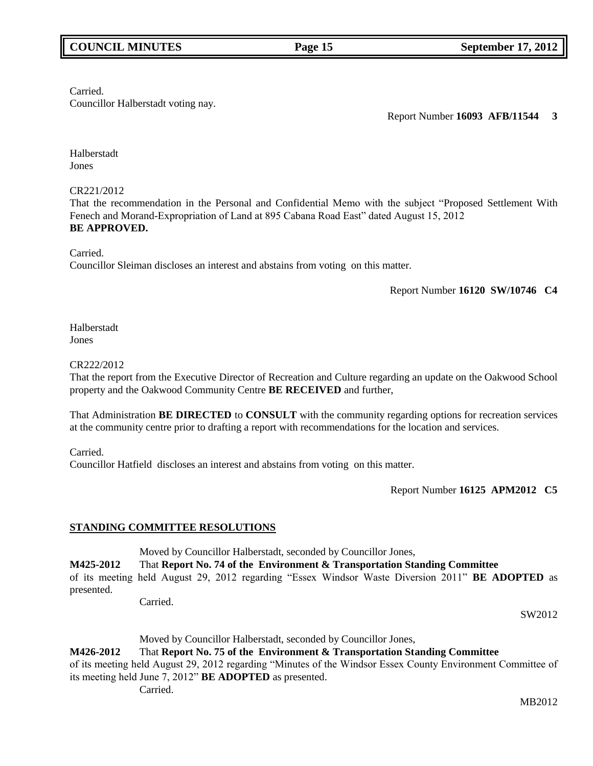## **COUNCIL MINUTES Page 15 September 17, 2012**

Carried.

Councillor Halberstadt voting nay.

Report Number **16093 AFB/11544 3**

Halberstadt Jones

## CR221/2012

That the recommendation in the Personal and Confidential Memo with the subject "Proposed Settlement With Fenech and Morand-Expropriation of Land at 895 Cabana Road East" dated August 15, 2012 **BE APPROVED.**

Carried.

Councillor Sleiman discloses an interest and abstains from voting on this matter.

Report Number **16120 SW/10746 C4**

Halberstadt Jones

## CR222/2012

That the report from the Executive Director of Recreation and Culture regarding an update on the Oakwood School property and the Oakwood Community Centre **BE RECEIVED** and further,

That Administration **BE DIRECTED** to **CONSULT** with the community regarding options for recreation services at the community centre prior to drafting a report with recommendations for the location and services.

Carried.

Councillor Hatfield discloses an interest and abstains from voting on this matter.

Report Number **16125 APM2012 C5**

## **STANDING COMMITTEE RESOLUTIONS**

Moved by Councillor Halberstadt, seconded by Councillor Jones,

**M425-2012** That **Report No. 74 of the Environment & Transportation Standing Committee** 

of its meeting held August 29, 2012 regarding "Essex Windsor Waste Diversion 2011" **BE ADOPTED** as presented. Carried.

SW2012

## Moved by Councillor Halberstadt, seconded by Councillor Jones,

## **M426-2012** That **Report No. 75 of the Environment & Transportation Standing Committee**

of its meeting held August 29, 2012 regarding "Minutes of the Windsor Essex County Environment Committee of its meeting held June 7, 2012" **BE ADOPTED** as presented.

Carried.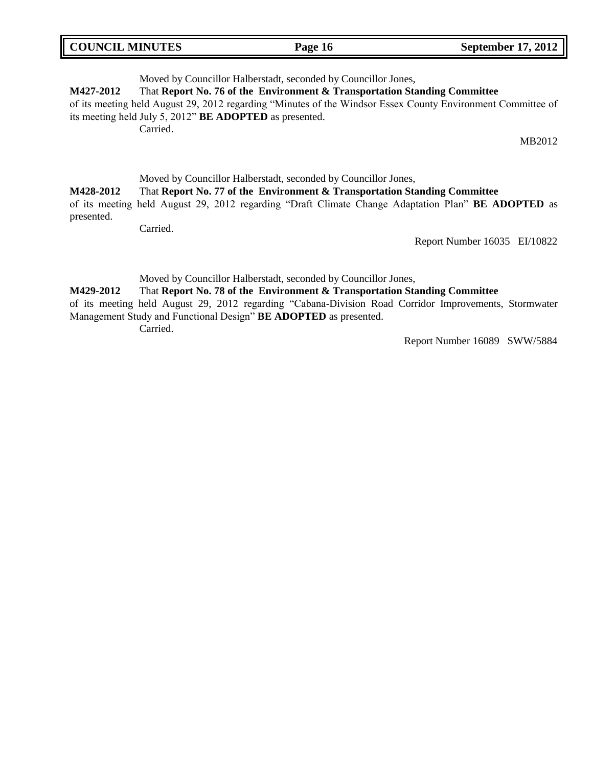| <b>COUNCIL MINUTES</b> | Page 16 | <b>September 17, 2012</b> |
|------------------------|---------|---------------------------|
|                        |         |                           |

Moved by Councillor Halberstadt, seconded by Councillor Jones, **M427-2012** That **Report No. 76 of the Environment & Transportation Standing Committee**  of its meeting held August 29, 2012 regarding "Minutes of the Windsor Essex County Environment Committee of its meeting held July 5, 2012" **BE ADOPTED** as presented. Carried. MB2012

## Moved by Councillor Halberstadt, seconded by Councillor Jones, **M428-2012** That **Report No. 77 of the Environment & Transportation Standing Committee**  of its meeting held August 29, 2012 regarding "Draft Climate Change Adaptation Plan" **BE ADOPTED** as presented.

Carried.

Report Number 16035 EI/10822

Moved by Councillor Halberstadt, seconded by Councillor Jones,

### **M429-2012** That **Report No. 78 of the Environment & Transportation Standing Committee**

of its meeting held August 29, 2012 regarding "Cabana-Division Road Corridor Improvements, Stormwater Management Study and Functional Design" **BE ADOPTED** as presented.

Carried.

Report Number 16089 SWW/5884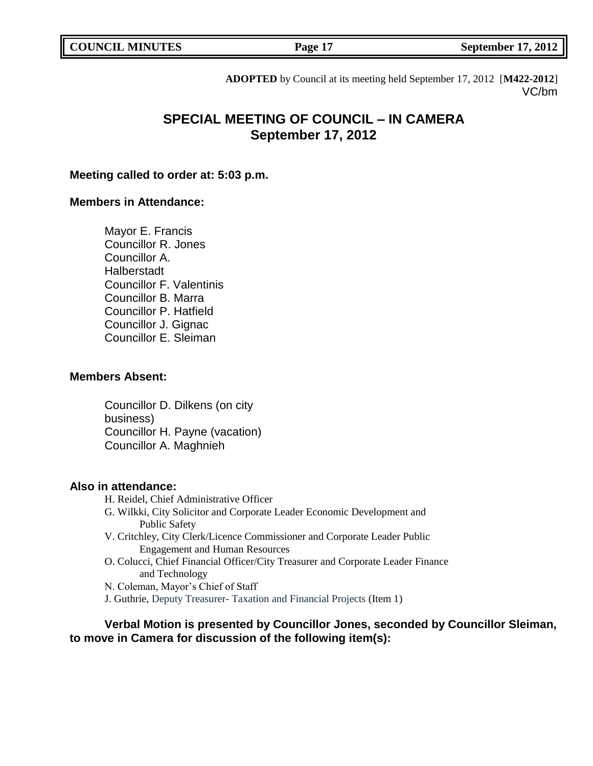**COUNCIL MINUTES COUNCIL September 17, 2012** 

**ADOPTED** by Council at its meeting held September 17, 2012 [**M422-2012**] VC/bm

# **SPECIAL MEETING OF COUNCIL – IN CAMERA September 17, 2012**

## **Meeting called to order at: 5:03 p.m.**

## **Members in Attendance:**

Mayor E. Francis Councillor R. Jones Councillor A. **Halberstadt** Councillor F. Valentinis Councillor B. Marra Councillor P. Hatfield Councillor J. Gignac Councillor E. Sleiman

## **Members Absent:**

Councillor D. Dilkens (on city business) Councillor H. Payne (vacation) Councillor A. Maghnieh

## **Also in attendance:**

- H. Reidel, Chief Administrative Officer
- G. Wilkki, City Solicitor and Corporate Leader Economic Development and Public Safety
- V. Critchley, City Clerk/Licence Commissioner and Corporate Leader Public Engagement and Human Resources
- O. Colucci, Chief Financial Officer/City Treasurer and Corporate Leader Finance and Technology
- N. Coleman, Mayor's Chief of Staff
- J. Guthrie, Deputy Treasurer- Taxation and Financial Projects (Item 1)

**Verbal Motion is presented by Councillor Jones, seconded by Councillor Sleiman, to move in Camera for discussion of the following item(s):**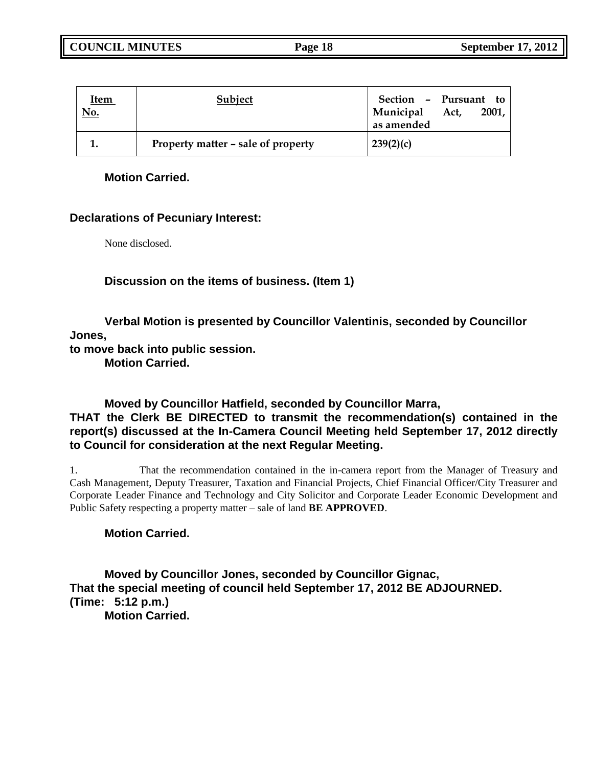| <u>Item</u><br><u>No.</u> | Subject                            | Section - Pursuant to<br>Municipal Act,<br>2001,<br>as amended |
|---------------------------|------------------------------------|----------------------------------------------------------------|
|                           | Property matter – sale of property | 239(2)(c)                                                      |

## **Motion Carried.**

## **Declarations of Pecuniary Interest:**

None disclosed.

## **Discussion on the items of business. (Item 1)**

**Verbal Motion is presented by Councillor Valentinis, seconded by Councillor Jones,**

**to move back into public session.**

**Motion Carried.**

# **Moved by Councillor Hatfield, seconded by Councillor Marra,**

## **THAT the Clerk BE DIRECTED to transmit the recommendation(s) contained in the report(s) discussed at the In-Camera Council Meeting held September 17, 2012 directly to Council for consideration at the next Regular Meeting.**

1. That the recommendation contained in the in-camera report from the Manager of Treasury and Cash Management, Deputy Treasurer, Taxation and Financial Projects, Chief Financial Officer/City Treasurer and Corporate Leader Finance and Technology and City Solicitor and Corporate Leader Economic Development and Public Safety respecting a property matter – sale of land **BE APPROVED**.

## **Motion Carried.**

**Moved by Councillor Jones, seconded by Councillor Gignac, That the special meeting of council held September 17, 2012 BE ADJOURNED. (Time: 5:12 p.m.) Motion Carried.**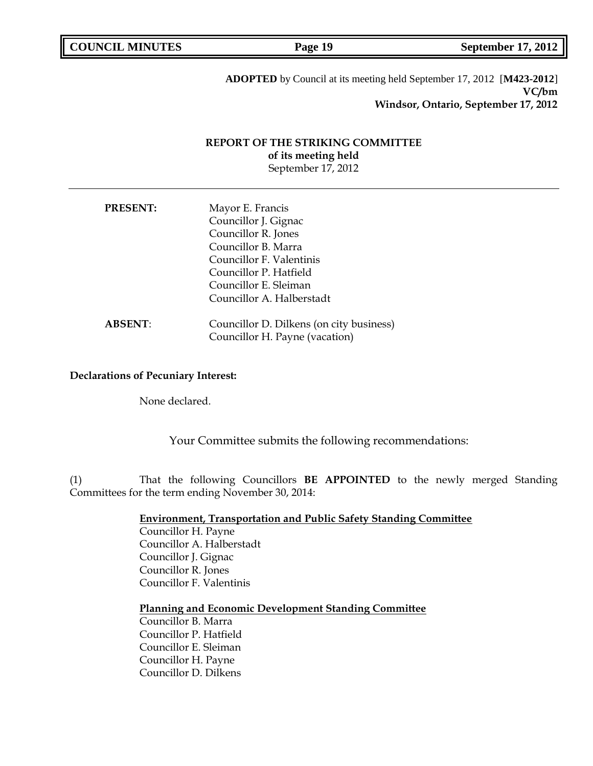**COUNCIL MINUTES COUNCIL MINUTES Page 19 September 17, 2012** 

**ADOPTED** by Council at its meeting held September 17, 2012 [**M423-2012**] **VC/bm Windsor, Ontario, September 17, 2012**

## **REPORT OF THE STRIKING COMMITTEE of its meeting held** September 17, 2012

| <b>PRESENT:</b> | Mayor E. Francis                         |
|-----------------|------------------------------------------|
|                 | Councillor J. Gignac                     |
|                 | Councillor R. Jones                      |
|                 | Councillor B. Marra                      |
|                 | Councillor F. Valentinis                 |
|                 | Councillor P. Hatfield                   |
|                 | Councillor E. Sleiman                    |
|                 | Councillor A. Halberstadt                |
| <b>ABSENT:</b>  | Councillor D. Dilkens (on city business) |
|                 | Councillor H. Payne (vacation)           |

### **Declarations of Pecuniary Interest:**

None declared.

Your Committee submits the following recommendations:

(1) That the following Councillors **BE APPOINTED** to the newly merged Standing Committees for the term ending November 30, 2014:

**Environment, Transportation and Public Safety Standing Committee**

Councillor H. Payne Councillor A. Halberstadt Councillor J. Gignac Councillor R. Jones Councillor F. Valentinis

## **Planning and Economic Development Standing Committee**

Councillor B. Marra Councillor P. Hatfield Councillor E. Sleiman Councillor H. Payne Councillor D. Dilkens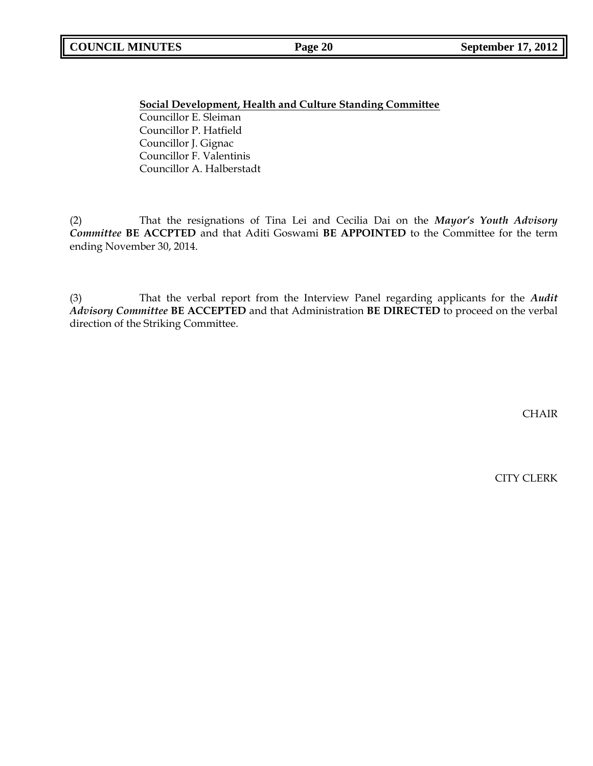**Social Development, Health and Culture Standing Committee** Councillor E. Sleiman Councillor P. Hatfield Councillor J. Gignac Councillor F. Valentinis Councillor A. Halberstadt

(2) That the resignations of Tina Lei and Cecilia Dai on the *Mayor's Youth Advisory Committee* **BE ACCPTED** and that Aditi Goswami **BE APPOINTED** to the Committee for the term ending November 30, 2014.

(3) That the verbal report from the Interview Panel regarding applicants for the *Audit Advisory Committee* **BE ACCEPTED** and that Administration **BE DIRECTED** to proceed on the verbal direction of the Striking Committee.

CHAIR

CITY CLERK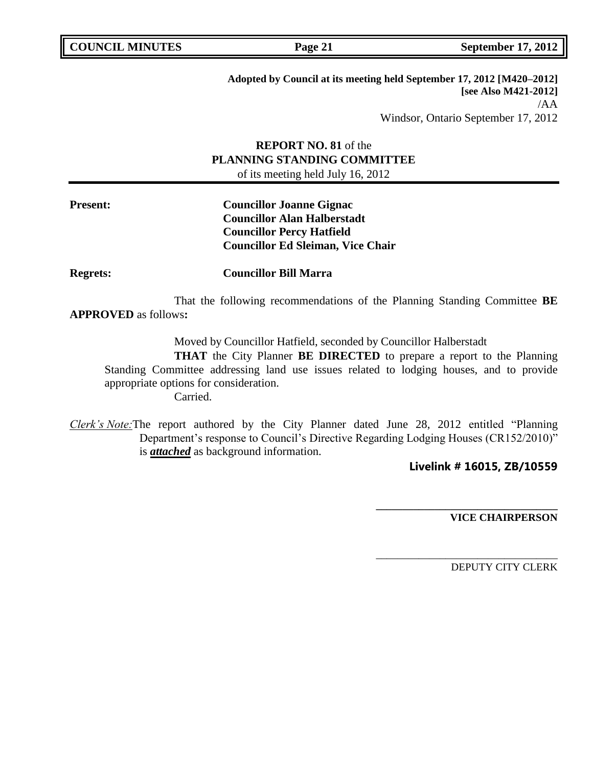**COUNCIL EXECUTE: COUNCIL EXECUTE: Page 21 September 17, 2012** 

**Adopted by Council at its meeting held September 17, 2012 [M420–2012] [see Also M421-2012]** /AA Windsor, Ontario September 17, 2012

# **REPORT NO. 81** of the **PLANNING STANDING COMMITTEE**

of its meeting held July 16, 2012

**Present: Councillor Joanne Gignac Councillor Alan Halberstadt Councillor Percy Hatfield Councillor Ed Sleiman, Vice Chair**

**Regrets: Councillor Bill Marra**

That the following recommendations of the Planning Standing Committee **BE APPROVED** as follows**:** 

Moved by Councillor Hatfield, seconded by Councillor Halberstadt

**THAT** the City Planner **BE DIRECTED** to prepare a report to the Planning Standing Committee addressing land use issues related to lodging houses, and to provide appropriate options for consideration. Carried.

*Clerk's Note:*The report authored by the City Planner dated June 28, 2012 entitled "Planning Department's response to Council's Directive Regarding Lodging Houses (CR152/2010)" is *attached* as background information.

## **Livelink # 16015, ZB/10559**

**\_\_\_\_\_\_\_\_\_\_\_\_\_\_\_\_\_\_\_\_\_\_\_\_\_\_\_\_\_\_\_\_\_\_**

\_\_\_\_\_\_\_\_\_\_\_\_\_\_\_\_\_\_\_\_\_\_\_\_\_\_\_\_\_\_\_\_\_\_

**VICE CHAIRPERSON**

DEPUTY CITY CLERK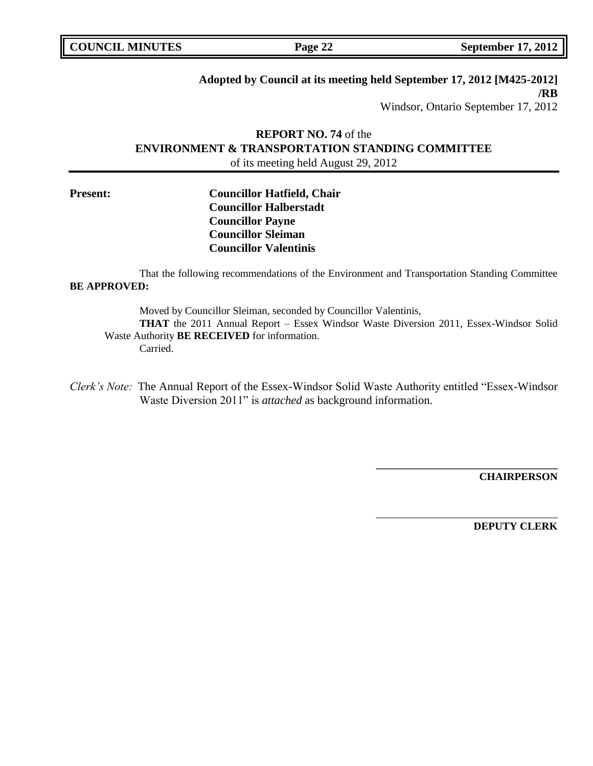## **Adopted by Council at its meeting held September 17, 2012 [M425-2012] /RB**

Windsor, Ontario September 17, 2012

# **REPORT NO. 74** of the **ENVIRONMENT & TRANSPORTATION STANDING COMMITTEE** of its meeting held August 29, 2012

## **Present: Councillor Hatfield, Chair Councillor Halberstadt Councillor Payne Councillor Sleiman Councillor Valentinis**

That the following recommendations of the Environment and Transportation Standing Committee **BE APPROVED:** 

Moved by Councillor Sleiman, seconded by Councillor Valentinis, **THAT** the 2011 Annual Report – Essex Windsor Waste Diversion 2011, Essex-Windsor Solid Waste Authority **BE RECEIVED** for information. Carried.

*Clerk's Note:* The Annual Report of the Essex-Windsor Solid Waste Authority entitled "Essex-Windsor Waste Diversion 2011" is *attached* as background information.

**CHAIRPERSON**

**\_\_\_\_\_\_\_\_\_\_\_\_\_\_\_\_\_\_\_\_\_\_\_\_\_\_\_\_\_\_\_\_\_\_**

\_\_\_\_\_\_\_\_\_\_\_\_\_\_\_\_\_\_\_\_\_\_\_\_\_\_\_\_\_\_\_\_\_\_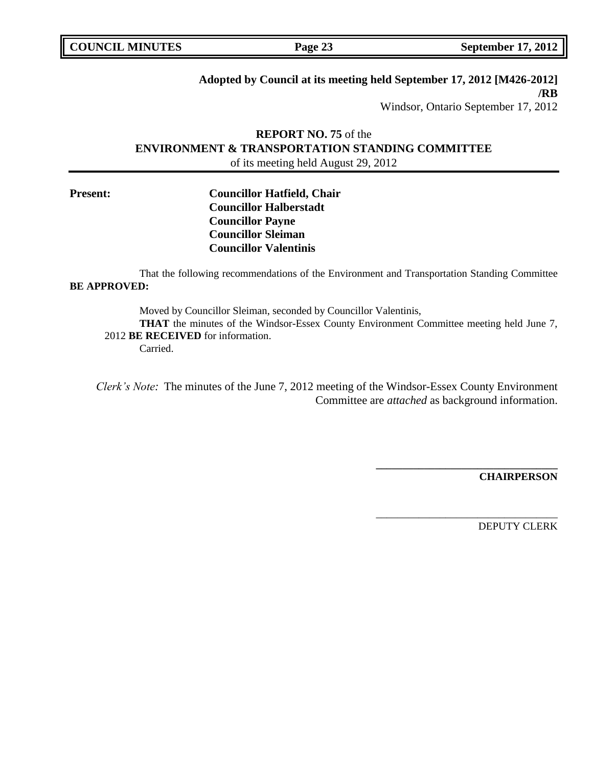## **Adopted by Council at its meeting held September 17, 2012 [M426-2012] /RB**

Windsor, Ontario September 17, 2012

# **REPORT NO. 75** of the **ENVIRONMENT & TRANSPORTATION STANDING COMMITTEE** of its meeting held August 29, 2012

## **Present: Councillor Hatfield, Chair Councillor Halberstadt Councillor Payne Councillor Sleiman Councillor Valentinis**

That the following recommendations of the Environment and Transportation Standing Committee **BE APPROVED:** 

> Moved by Councillor Sleiman, seconded by Councillor Valentinis, **THAT** the minutes of the Windsor-Essex County Environment Committee meeting held June 7,

## 2012 **BE RECEIVED** for information.

Carried.

*Clerk's Note:* The minutes of the June 7, 2012 meeting of the Windsor-Essex County Environment Committee are *attached* as background information.

**CHAIRPERSON**

**\_\_\_\_\_\_\_\_\_\_\_\_\_\_\_\_\_\_\_\_\_\_\_\_\_\_\_\_\_\_\_\_\_\_**

\_\_\_\_\_\_\_\_\_\_\_\_\_\_\_\_\_\_\_\_\_\_\_\_\_\_\_\_\_\_\_\_\_\_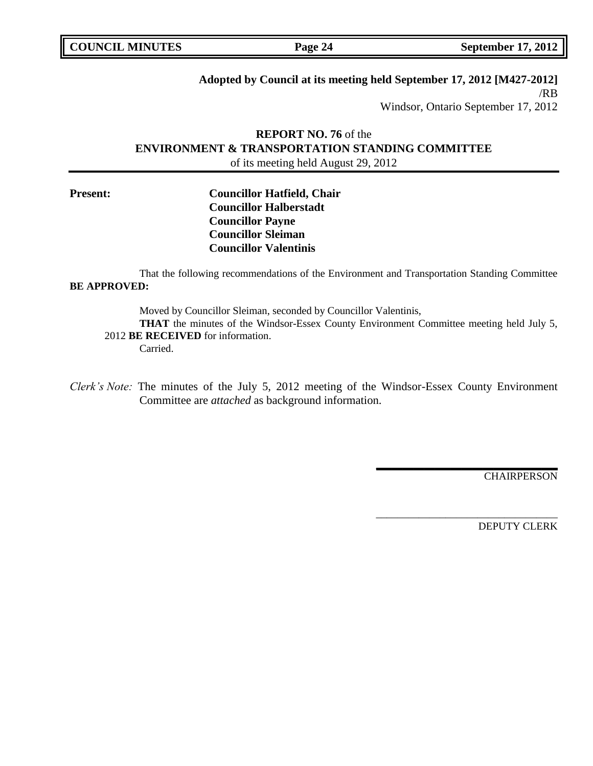# **Adopted by Council at its meeting held September 17, 2012 [M427-2012]**

/RB Windsor, Ontario September 17, 2012

# **REPORT NO. 76** of the **ENVIRONMENT & TRANSPORTATION STANDING COMMITTEE** of its meeting held August 29, 2012

## **Present: Councillor Hatfield, Chair Councillor Halberstadt Councillor Payne Councillor Sleiman Councillor Valentinis**

That the following recommendations of the Environment and Transportation Standing Committee **BE APPROVED:** 

Moved by Councillor Sleiman, seconded by Councillor Valentinis, **THAT** the minutes of the Windsor-Essex County Environment Committee meeting held July 5, 2012 **BE RECEIVED** for information.

Carried.

*Clerk's Note:* The minutes of the July 5, 2012 meeting of the Windsor-Essex County Environment Committee are *attached* as background information.

CHAIRPERSON

**\_\_\_\_\_\_\_\_\_\_\_\_\_\_\_\_\_\_\_\_\_\_\_\_\_\_\_\_\_\_\_\_\_\_**

\_\_\_\_\_\_\_\_\_\_\_\_\_\_\_\_\_\_\_\_\_\_\_\_\_\_\_\_\_\_\_\_\_\_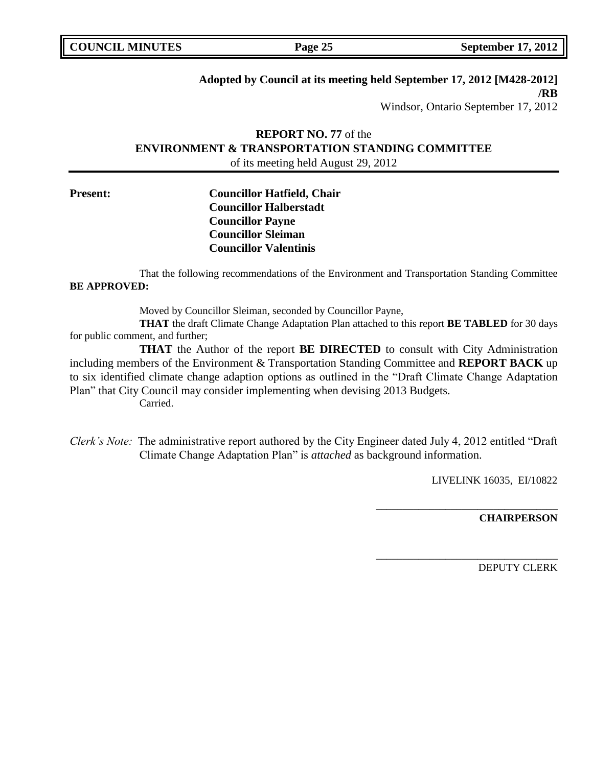## **Adopted by Council at its meeting held September 17, 2012 [M428-2012] /RB**

Windsor, Ontario September 17, 2012

# **REPORT NO. 77** of the **ENVIRONMENT & TRANSPORTATION STANDING COMMITTEE** of its meeting held August 29, 2012

## **Present: Councillor Hatfield, Chair Councillor Halberstadt Councillor Payne Councillor Sleiman Councillor Valentinis**

That the following recommendations of the Environment and Transportation Standing Committee **BE APPROVED:** 

Moved by Councillor Sleiman, seconded by Councillor Payne,

**THAT** the draft Climate Change Adaptation Plan attached to this report **BE TABLED** for 30 days for public comment, and further;

**THAT** the Author of the report **BE DIRECTED** to consult with City Administration including members of the Environment & Transportation Standing Committee and **REPORT BACK** up to six identified climate change adaption options as outlined in the "Draft Climate Change Adaptation Plan" that City Council may consider implementing when devising 2013 Budgets. Carried.

*Clerk's Note:* The administrative report authored by the City Engineer dated July 4, 2012 entitled "Draft Climate Change Adaptation Plan" is *attached* as background information.

LIVELINK 16035, EI/10822

**\_\_\_\_\_\_\_\_\_\_\_\_\_\_\_\_\_\_\_\_\_\_\_\_\_\_\_\_\_\_\_\_\_\_**

\_\_\_\_\_\_\_\_\_\_\_\_\_\_\_\_\_\_\_\_\_\_\_\_\_\_\_\_\_\_\_\_\_\_

**CHAIRPERSON**